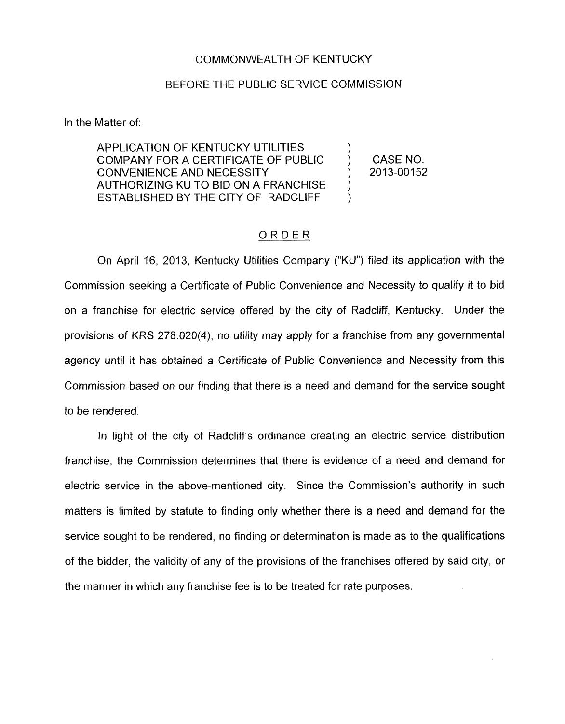## COMMONWEALTH OF KENTUCKY

## BEFORE THE PUBLIC SERVICE COMMISSION

In the Matter of:

APPLICATION OF KENTUCKY UTILITIES COMPANY FOR A CERTIFICATE OF PUBLIC ) CASE NO. CONVENIENCE AND NECESSITY ) 2013-00152 AUTHORIZING KU TO BID ON A FRANCHISE ESTABLISHED BY THE CITY OF RADCLIFF

)

) )

## ORDER

On April 16, 2013, Kentucky Utilities Company ("KU") filed its application with the Commissian seeking a Certificate of Public Convenience and Necessity to qualify it to bid on a franchise for electric service offered by the city of Radcliff, Kentucky. Under the provisions of KRS 278.020(4), no utility may apply for a franchise from any governmental agency until it has obtained a Certificate of Public Convenience and Necessity from this Commission based on our finding that there is a need and demand for the service sought to be rendered.

In light of the city of Radcliff's ordinance creating an electric service distribution franchise, the Commission determines that there is evidence of a need and demand for electric service in the above-mentioned city. Since the Commission's authority in such matters is limited by statute to finding only whether there is a need and demand for the service sought to be rendered, no finding or determination is made as to the qualifications of the bidder, the validity of any of the provisions of the franchises offered by said city, or the manner in which any franchise fee is to be treated for rate purposes.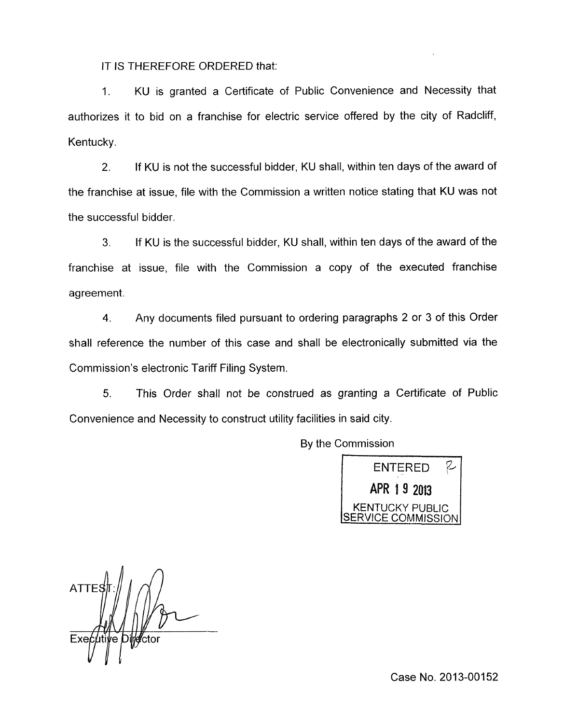IT IS THEREFORE ORDERED that:

1. KU is granted a Certificate of Public Convenience and Necessity that authorizes it to bid on a franchise for electric service offered by the city of Radcliff, Kentucky.

2. If KU is not the successful bidder, KU shall, within ten days of the award of the franchise at issue, file with the Commission a written notice stating that KU was not the successful bidder.

**3.** If KU is the successful bidder, KU shall, within ten days of the award of the franchise at issue, file with the Commission a copy of the executed franchise agreement.

**4.** Any documents filed pursuant to ordering paragraphs 2 or 3 of this Order shall reference the number of this case and shall be electronically submitted via the Commission's electronic Tariff Filing System.

5. This Order shall not be construed as granting a Certificate of Public Convenience and Necessity to construct utility facilities in said city.

By the Commission



**ATTE** Executive

Case No. 2013-00152